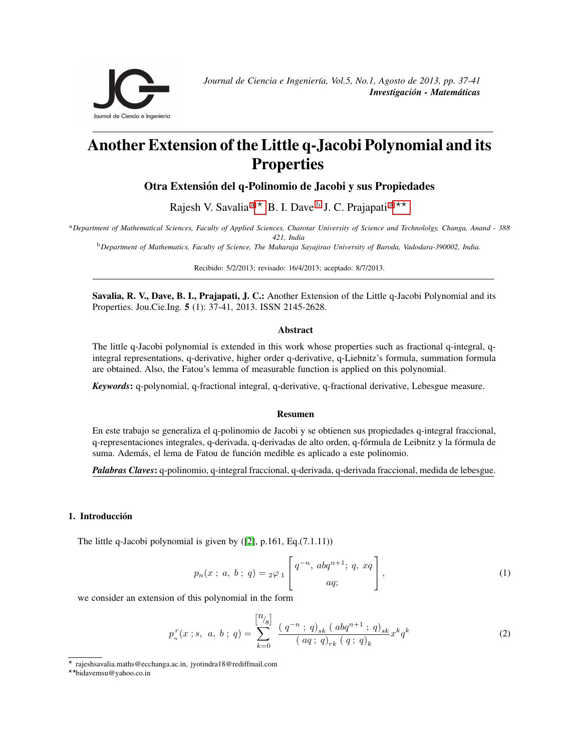<span id="page-0-0"></span>

# Another Extension of the Little q-Jacobi Polynomial and its **Properties**

Otra Extensión del q-Polinomio de Jacobi y sus Propiedades

R[a](#page-0-0)jesh V. Savalia <sup>a \*</sup> B. I. Dave <sup>[b](#page-0-0)</sup> J. C. Prajapati <sup>a \*\*</sup>

<sup>a</sup>*Department of Mathematical Sciences, Faculty of Applied Sciences, Charotar University of Science and Technololgy, Changa, Anand - 388 421, India*

<sup>b</sup>*Department of Mathematics, Faculty of Science, The Maharaja Sayajirao University of Baroda, Vadodara-390002, India.*

Recibido: 5/2/2013; revisado: 16/4/2013; aceptado: 8/7/2013.

Savalia, R. V., Dave, B. I., Prajapati, J. C.: Another Extension of the Little q-Jacobi Polynomial and its Properties. Jou.Cie.Ing. 5 (1): 37-41, 2013. ISSN 2145-2628.

## Abstract

The little q-Jacobi polynomial is extended in this work whose properties such as fractional q-integral, qintegral representations, q-derivative, higher order q-derivative, q-Liebnitz's formula, summation formula are obtained. Also, the Fatou's lemma of measurable function is applied on this polynomial.

*Keywords*: q-polynomial, q-fractional integral, q-derivative, q-fractional derivative, Lebesgue measure.

#### Resumen

En este trabajo se generaliza el q-polinomio de Jacobi y se obtienen sus propiedades q-integral fraccional, q-representaciones integrales, q-derivada, q-derivadas de alto orden, q-fórmula de Leibnitz y la fórmula de suma. Además, el lema de Fatou de función medible es aplicado a este polinomio.

*Palabras Claves*: q-polinomio, q-integral fraccional, q-derivada, q-derivada fraccional, medida de lebesgue.

# 1. Introducción

The little q-Jacobi polynomial is given by  $(2]$ , p.161, Eq. $(7.1.11)$ )

$$
p_n(x \; ; \; a, \; b \; ; \; q) = {}_2\varphi_1 \left[ \begin{array}{c} q^{-n}, \; abq^{n+1}; \; q, \; xq \\ aq; \end{array} \right], \tag{1}
$$

we consider an extension of this polynomial in the form

<span id="page-0-3"></span>
$$
p_n^r(x \; ; s, \; a, \; b \; ; \; q) = \sum_{k=0}^{\left[\frac{n}{s}\right]} \; \frac{\left(\;q^{-n} \; ; \; q\right)_{sk} \left(\; abq^{n+1} \; ; \; q\right)_{sk}}{\left(\; a q \; ; \; q\right)_{rk} \left(\; q \; ; \; q\right)_k} x^k q^k \tag{2}
$$

<span id="page-0-2"></span>??bidavemsu@yahoo.co.in

<span id="page-0-1"></span><sup>?</sup> rajeshsavalia.maths@ecchanga.ac.in, jyotindra18@rediffmail.com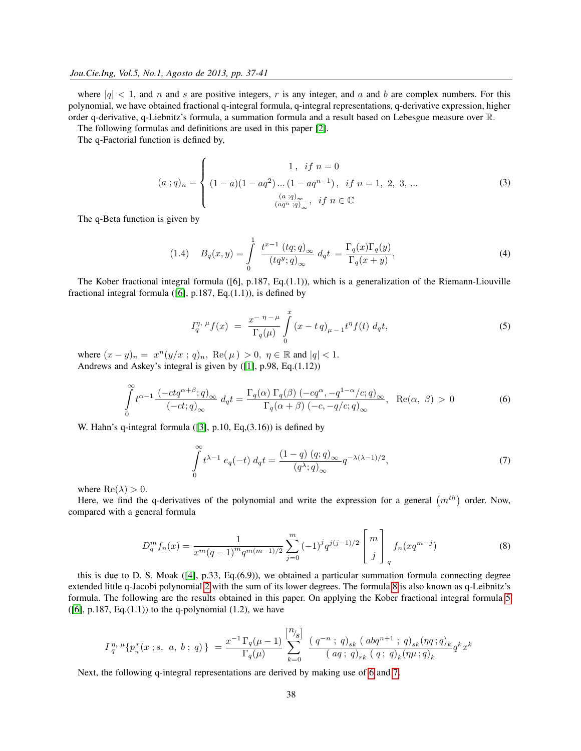where  $|q| < 1$ , and n and s are positive integers, r is any integer, and a and b are complex numbers. For this polynomial, we have obtained fractional q-integral formula, q-integral representations, q-derivative expression, higher order q-derivative, q-Liebnitz's formula, a summation formula and a result based on Lebesgue measure over R.

The following formulas and definitions are used in this paper [\[2\]](#page-4-0).

The q-Factorial function is defined by,

$$
(a;q)_n = \begin{cases} 1, & if \ n = 0 \\ (1-a)(1-aq^2)...(1-aq^{n-1}), & if \ n = 1, 2, 3, ... \\ \frac{(a;q)_{\infty}}{(aq^n;q)_{\infty}}, & if \ n \in \mathbb{C} \end{cases}
$$
 (3)

The q-Beta function is given by

(1.4) 
$$
B_q(x,y) = \int_{0}^{1} \frac{t^{x-1} (tq;q)_{\infty}}{(tq^y;q)_{\infty}} d_q t = \frac{\Gamma_q(x)\Gamma_q(y)}{\Gamma_q(x+y)},
$$
(4)

The Kober fractional integral formula ([6], p.187, Eq.(1.1)), which is a generalization of the Riemann-Liouville fractional integral formula ( $[6]$ , p.187, Eq. $(1.1)$ ), is defined by

<span id="page-1-1"></span>
$$
I_q^{\eta, \ \mu} f(x) = \frac{x^{-\eta - \mu}}{\Gamma_q(\mu)} \int_0^x (x - t q)_{\mu - 1} t^{\eta} f(t) \ d_q t,\tag{5}
$$

where  $(x - y)_n = x^n (y/x ; q)_n$ , Re( $\mu$ ) > 0,  $\eta \in \mathbb{R}$  and  $|q| < 1$ . Andrews and Askey's integral is given by ([\[1\]](#page-4-2), p.98, Eq.(1.12))

<span id="page-1-2"></span>
$$
\int_{0}^{\infty} t^{\alpha-1} \frac{(-ctq^{\alpha+\beta};q)_{\infty}}{(-ct;q)_{\infty}} d_{q}t = \frac{\Gamma_{q}(\alpha) \Gamma_{q}(\beta) (-cq^{\alpha}, -q^{1-\alpha}/c;q)_{\infty}}{\Gamma_{q}(\alpha+\beta) (-c, -q/c;q)_{\infty}}, \ \ \text{Re}(\alpha, \ \beta) > 0
$$
\n(6)

W. Hahn's q-integral formula ([\[3\]](#page-4-3), p.10, Eq,(3.16)) is defined by

<span id="page-1-3"></span>
$$
\int_{0}^{\infty} t^{\lambda - 1} e_q(-t) d_q t = \frac{(1 - q) (q; q)_{\infty}}{(q^{\lambda}; q)_{\infty}} q^{-\lambda(\lambda - 1)/2},\tag{7}
$$

where  $\text{Re}(\lambda) > 0$ .

Here, we find the q-derivatives of the polynomial and write the expression for a general  $(m^{th})$  order. Now, compared with a general formula

<span id="page-1-0"></span>
$$
D_q^m f_n(x) = \frac{1}{x^m (q-1)^m q^{m(m-1)/2}} \sum_{j=0}^m (-1)^j q^{j(j-1)/2} \begin{bmatrix} m \\ j \end{bmatrix}_q f_n(xq^{m-j}) \tag{8}
$$

this is due to D. S. Moak ([\[4\]](#page-4-4), p.33, Eq.(6.9)), we obtained a particular summation formula connecting degree extended little q-Jacobi polynomial [2](#page-0-3) with the sum of its lower degrees. The formula [8](#page-1-0) is also known as q-Leibnitz's formula. The following are the results obtained in this paper. On applying the Kober fractional integral formula [5](#page-1-1) ([\[6\]](#page-4-1), p.187, Eq. $(1.1)$ ) to the q-polynomial  $(1.2)$ , we have

$$
I_q^{\,\eta,\,\mu}\{p^{\,r}_n(x\,;s,\,\,a,\,b\;;\,q)\,\}\ =\frac{x^{-1}\,\Gamma_q(\mu-1)}{\Gamma_q(\mu)}\,\sum_{k=0}^{\big[\!\!\frac{\eta\prime_s\big]}{\,}\!\!\big]} \ \frac{(\,q^{-n}\;;\,\,q)_{sk}\,(\,\,abq^{n+1}\;;\,\,q)_{sk}(\eta q\,;q)_{k}}{(\,\,aq\;;\,\,q)_{rk}\,(\,\,q\;;\,\,q)_{k}(\eta\mu\,;q)_{k}}q^k x^k
$$

Next, the following q-integral representations are derived by making use of [6](#page-1-2) and [7.](#page-1-3)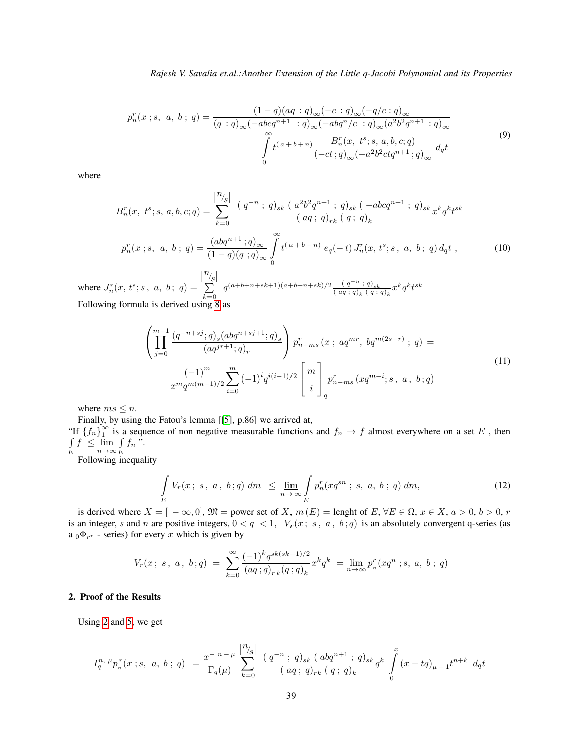$$
p_n^r(x ; s, a, b; q) = \frac{(1-q)(aq : q)_{\infty}(-c : q)_{\infty}(-q/c : q)_{\infty}}{(q : q)_{\infty}(-abcq^{n+1} : q)_{\infty}(-abq^n/c : q)_{\infty}(a^2b^2q^{n+1} : q)_{\infty}}
$$

$$
\int_{0}^{\infty} t^{(a+b+n)} \frac{B_n^r(x, t^s; s, a, b, c; q)}{(-ct; q)_{\infty}(-a^2b^2ctq^{n+1}; q)_{\infty}} dqt
$$

$$
(9)
$$

where

$$
B_n^r(x, t^s; s, a, b, c; q) = \sum_{k=0}^{\lfloor n/2 \rfloor} \frac{(q^{-n} ; q)_{sk} (a^2 b^2 q^{n+1} ; q)_{sk} (-abcq^{n+1} ; q)_{sk}}{(aq; q)_{rk} (q; q)_k} x^k q^k t^{sk}
$$

$$
p_n^r(x; s, a, b; q) = \frac{(abq^{n+1}; q)_{\infty}}{(1-q)(q; q)_{\infty}} \int_0^\infty t^{(a+b+n)} e_q(-t) J_n^r(x, t^s; s, a, b; q) d_q t,
$$
 (10)

where  $J_n^r(x, t^s; s, a, b; q) =$  $\left[^n\!/_{\!S}\right]$ P  $_{k=0}$  $q^{(a+b+n+sk+1)(a+b+n+sk)/2}$   $\frac{(q^{-n};q)_{sk}}{(qa;q)_{sk}}$  $\frac{(q^{-n};q)_{sk}}{(aq;q)_k (q;q)_k} x^k q^k t^{sk}$ Following formula is derived using [8](#page-1-0) as

$$
\left(\prod_{j=0}^{m-1} \frac{(q^{-n+sj};q)_s (abq^{n+sj+1};q)_s}{(aq^{jr+1};q)_r}\right) p_{n-ms}^r (x \; ; \; aq^{mr}, \; bq^{m(2s-r)} \; ; \; q) =
$$
\n
$$
\frac{(-1)^m}{x^m q^{m(m-1)/2}} \sum_{i=0}^m (-1)^i q^{i(i-1)/2} \begin{bmatrix} m \\ i \end{bmatrix} p_{n-ms}^r (xq^{m-i};s, \; a, \; b; q)
$$
\n
$$
(11)
$$

where  $ms \leq n$ .

E

Finally, by using the Fatou's lemma [[\[5\]](#page-4-5), p.86] we arrived at,

"If  $\{f_n\}_1^{\infty}$  $\frac{\infty}{1}$  is a sequence of non negative measurable functions and  $f_n \to f$  almost everywhere on a set E, then R  $f \leq \lim_{n \to \infty}$ R  $\int\limits_E f_n$ ".

Following inequality

$$
\int_{E} V_r(x; s, a, b; q) dm \leq \lim_{n \to \infty} \int_{E} p_n^r(xq^{sn}; s, a, b; q) dm,
$$
\n(12)

is derived where  $X = [-\infty, 0], \mathfrak{M} =$  power set of X,  $m(E) =$  lenght of E,  $\forall E \in \Omega$ ,  $x \in X$ ,  $a > 0$ ,  $b > 0$ , r is an integer, s and n are positive integers,  $0 < q < 1$ ,  $V_r(x; s, a, b; q)$  is an absolutely convergent q-series (as  $a_0 \Phi_{r^r}$  - series) for every x which is given by

$$
V_r(x\,;\,s\,,\;a\,,\;b\,;q)\;=\;\sum_{k=0}^\infty\frac{(-1)^kq^{sk(sk-1)/2}}{(aq\,;q)_{r\,k}(q\,;q)_{k}}x^kq^k\;=\lim_{n\to\infty}p^r_n(xq^n\,;s,\;a,\;b\,;\;q)
$$

# 2. Proof of the Results

Using [2](#page-0-3) and [5,](#page-1-1) we get

$$
I_q^{n, \mu} p_n^r(x;s, a, b; q) = \frac{x^{-n-\mu}}{\Gamma_q(\mu)} \sum_{k=0}^{\left[\frac{n}{s}\right]} \frac{(q^{-n}; q)_{sk} (abq^{n+1}; q)_{sk}}{(aq; q)_{rk} (q; q)_k} q^k \int_0^x (x-tq)_{\mu-1} t^{n+k} dq t
$$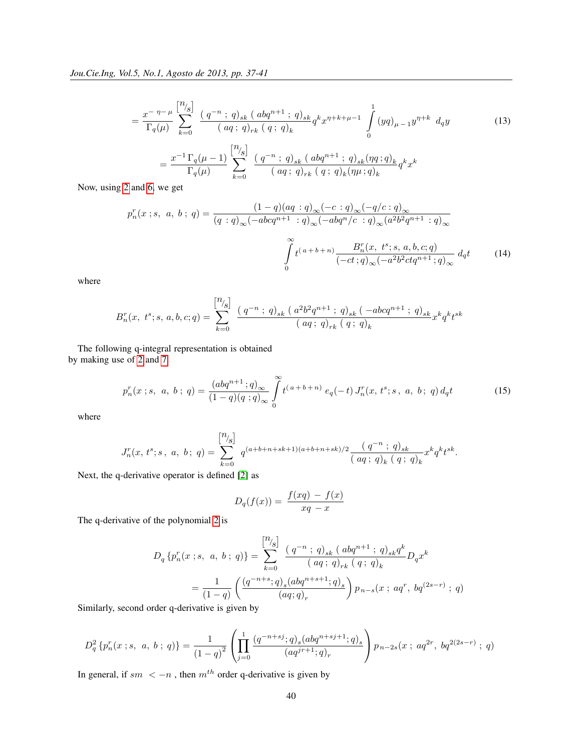$$
= \frac{x^{-\eta-\mu}}{\Gamma_q(\mu)} \sum_{k=0}^{\left[\frac{n}{\sqrt{s}}\right]} \frac{\left(q^{-n} \; ; \; q\right)_{sk} \left(\; abq^{n+1} \; ; \; q\right)_{sk}}{\left(\; aq \; ; \; q\right)_{rk} \left(\; q \; ; \; q\right)_{k}} q^k x^{\eta+k+\mu-1} \int_0^1 (yq)_{\mu-1} y^{\eta+k} \; dqy \qquad (13)
$$

$$
= \frac{x^{-1} \Gamma_q(\mu-1)}{\Gamma_q(\mu)} \sum_{k=0}^{\left[\frac{n}{\sqrt{s}}\right]} \frac{\left(\; q^{-n} \; ; \; q\right)_{sk} \left(\; abq^{n+1} \; ; \; q\right)_{sk} (\eta q; q)_{k}}{\left(\; aq \; ; \; q\right)_{rk} \left(\; q \; ; \; q\right)_{k} (\eta \mu; q)_{k}} q^k x^k
$$

Now, using [2](#page-0-3) and [6,](#page-1-2) we get

$$
p_n^r(x \, ; s, \, a, \, b \, ; \, q) = \frac{(1-q)(aq : q)_{\infty}(-c : q)_{\infty}(-q/c : q)_{\infty}}{(q : q)_{\infty}(-abcq^{n+1} : q)_{\infty}(-abq^n/c : q)_{\infty}(a^2b^2q^{n+1} : q)_{\infty}}
$$

$$
\int_{0}^{\infty} t^{(a+b+n)} \frac{B_n^r(x, t^s; s, a, b, c; q)}{(-ct; q)_{\infty}(-a^2b^2ctq^{n+1}; q)_{\infty}} d_q t \tag{14}
$$

where

$$
B^r_n(x,\ t^s;s,\ a,b,c;q)=\sum_{k=0}^{\left[\begin{matrix}n_{\mathbf{j}_{\mathcal{S}}}\end{matrix}\right]}\frac{\left(\;q^{-n}\;;\;q\right)_{sk}\left(\;a^2b^2q^{n+1}\;;\;q\right)_{sk}\left(\;-abcq^{n+1}\;;\;q\right)_{sk}}{\left(\;aq\;;\;q\right)_{rk}\left(\;q\;;\;q\right)_{k}}x^kq^kt^{sk}
$$

The following q-integral representation is obtained by making use of [2](#page-0-3) and [7](#page-1-3)

$$
p_n^r(x \; ; s, \; a, \; b \; ; \; q) = \frac{(abq^{n+1} \; ; q)_{\infty}}{(1-q)(q \; ; q)_{\infty}} \int_0^{\infty} t^{(a+b+n)} \; e_q(-t) \, J_n^r(x, \, t^s; s \; , \; a, \; b \; ; \; q) \, d_q t \tag{15}
$$

where

$$
J_n^r(x, t^s; s, a, b; q) = \sum_{k=0}^{\left[\begin{matrix}n_{\mathbf{j}}\end{matrix}\right]} q^{(a+b+n+sk+1)(a+b+n+sk)/2} \frac{\left(\begin{matrix}q^{-n} \end{matrix}; q\right)_{sk}}{\left(\begin{matrix}aq \end{matrix}; q\right)_k} x^k q^k t^{sk}.
$$

Next, the q-derivative operator is defined [\[2\]](#page-4-0) as

$$
D_q(f(x)) = \frac{f(xq) - f(x)}{xq - x}
$$

The q-derivative of the polynomial [2](#page-0-3) is

$$
D_q \left\{ p_n^r(x ; s, a, b; q) \right\} = \sum_{k=0}^{\left[\begin{matrix}n_{\mathcal{G}}\end{matrix}\right]} \frac{\left(\,q^{-n} \; ; \; q\right)_{sk} \left(\right. abq^{n+1} \; ; \; q\right)_{sk} q^k}{\left(\, a q \; ; \; q\right)_{rk} \left(\; q \; ; \; q\right)_k} D_q x^k
$$
\n
$$
= \frac{1}{\left(1-q\right)} \left( \frac{\left(q^{-n+s}; q\right)_{s} \left(abq^{n+s+1}; q\right)_{s}}{\left(aq;q\right)_{r}} \right) p_{n-s}(x \; ; \; aq^r, \; bq^{(2s-r)} \; ; \; q)
$$

Similarly, second order q-derivative is given by

$$
D_q^2\left\{p_n^r(x\ ; s,\ a,\ b\ ;\ q)\right\}=\frac{1}{\left(1-q\right)^2}\left(\prod_{j=0}^1\frac{\left(q^{-n+sj};q\right)_s(abq^{n+sj+1};q)_s}{\left(aq^{jr+1};q\right)_r}\right)p_{n-2s}(x\ ;\ aq^{2r},\ bq^{2(2s-r)}\ ;\ q)
$$

In general, if  $sm < -n$ , then  $m^{th}$  order q-derivative is given by